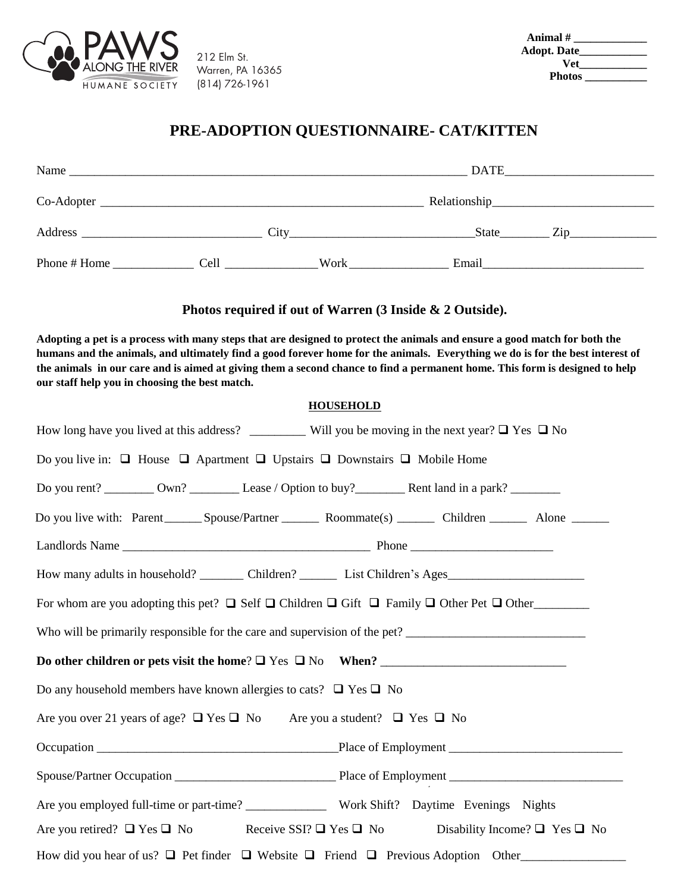

212 Elm St. (814) 726-1961 Warren, PA 16365

| Animal #      |  |
|---------------|--|
| Adopt. Date__ |  |
| Vet           |  |
| <b>Photos</b> |  |

## **PRE-ADOPTION QUESTIONNAIRE- CAT/KITTEN**

| Name         |                                               |      | <b>DATE</b> |     |  |  |
|--------------|-----------------------------------------------|------|-------------|-----|--|--|
| Co-Adopter   |                                               |      |             |     |  |  |
| Address      | <u> 1980 - Jan Samuel Barbara, margaret e</u> | City | State       | Zip |  |  |
| Phone # Home | Cell                                          | Work | Email       |     |  |  |

## **Photos required if out of Warren (3 Inside & 2 Outside).**

**Adopting a pet is a process with many steps that are designed to protect the animals and ensure a good match for both the humans and the animals, and ultimately find a good forever home for the animals. Everything we do is for the best interest of the animals in our care and is aimed at giving them a second chance to find a permanent home. This form is designed to help our staff help you in choosing the best match.**

## **HOUSEHOLD**

| How long have you lived at this address? ___________ Will you be moving in the next year? $\Box$ Yes $\Box$ No          |  |
|-------------------------------------------------------------------------------------------------------------------------|--|
| Do you live in: $\Box$ House $\Box$ Apartment $\Box$ Upstairs $\Box$ Downstairs $\Box$ Mobile Home                      |  |
| Do you rent? __________ Own? _______________ Lease / Option to buy? _____________ Rent land in a park? _________        |  |
| Do you live with: Parent ________ Spouse/Partner __________ Roommate(s) _________ Children _________ Alone ________     |  |
|                                                                                                                         |  |
| How many adults in household? __________ Children? ____________ List Children's Ages__________________________          |  |
| For whom are you adopting this pet? $\Box$ Self $\Box$ Children $\Box$ Gift $\Box$ Family $\Box$ Other Pet $\Box$ Other |  |
|                                                                                                                         |  |
|                                                                                                                         |  |
| Do any household members have known allergies to cats? $\Box$ Yes $\Box$ No                                             |  |
| Are you over 21 years of age? $\Box$ Yes $\Box$ No Are you a student? $\Box$ Yes $\Box$ No                              |  |
|                                                                                                                         |  |
|                                                                                                                         |  |
|                                                                                                                         |  |
| Are you retired? $\Box$ Yes $\Box$ No Receive SSI? $\Box$ Yes $\Box$ No Disability Income? $\Box$ Yes $\Box$ No         |  |
| How did you hear of us? $\Box$ Pet finder $\Box$ Website $\Box$ Friend $\Box$ Previous Adoption Other                   |  |